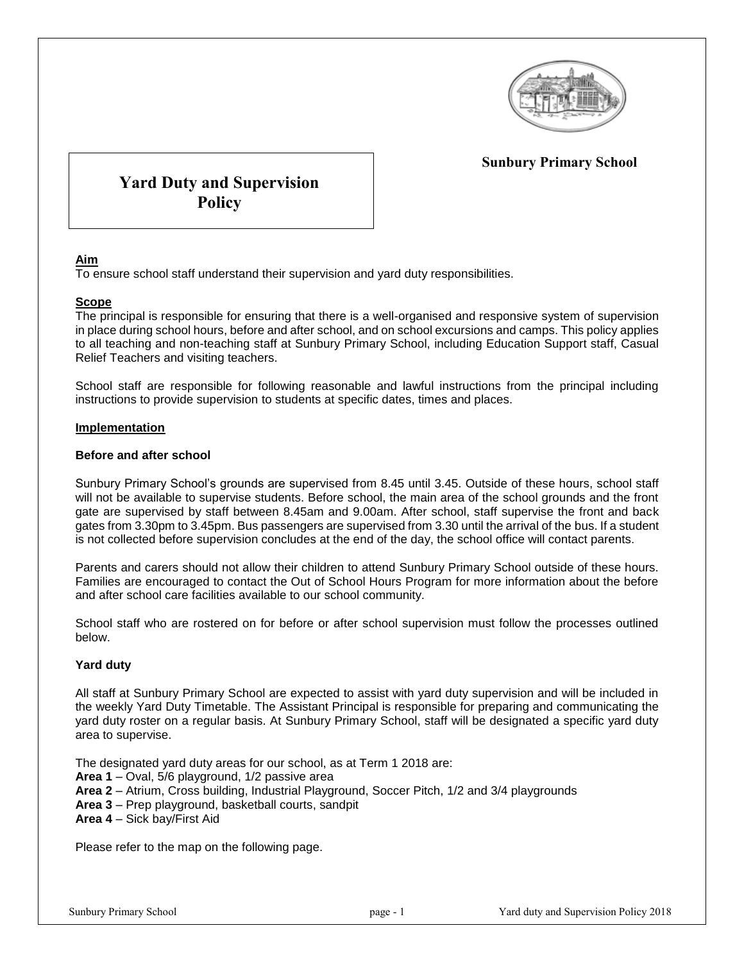

# **Sunbury Primary School**

# **Yard Duty and Supervision Policy**

### **Aim**

To ensure school staff understand their supervision and yard duty responsibilities.

## **Scope**

The principal is responsible for ensuring that there is a well-organised and responsive system of supervision in place during school hours, before and after school, and on school excursions and camps. This policy applies to all teaching and non-teaching staff at Sunbury Primary School, including Education Support staff, Casual Relief Teachers and visiting teachers.

School staff are responsible for following reasonable and lawful instructions from the principal including instructions to provide supervision to students at specific dates, times and places.

#### **Implementation**

#### **Before and after school**

Sunbury Primary School's grounds are supervised from 8.45 until 3.45. Outside of these hours, school staff will not be available to supervise students. Before school, the main area of the school grounds and the front gate are supervised by staff between 8.45am and 9.00am. After school, staff supervise the front and back gates from 3.30pm to 3.45pm. Bus passengers are supervised from 3.30 until the arrival of the bus. If a student is not collected before supervision concludes at the end of the day, the school office will contact parents.

Parents and carers should not allow their children to attend Sunbury Primary School outside of these hours. Families are encouraged to contact the Out of School Hours Program for more information about the before and after school care facilities available to our school community.

School staff who are rostered on for before or after school supervision must follow the processes outlined below.

### **Yard duty**

All staff at Sunbury Primary School are expected to assist with yard duty supervision and will be included in the weekly Yard Duty Timetable. The Assistant Principal is responsible for preparing and communicating the yard duty roster on a regular basis. At Sunbury Primary School, staff will be designated a specific yard duty area to supervise.

The designated yard duty areas for our school, as at Term 1 2018 are:

**Area 1** – Oval, 5/6 playground, 1/2 passive area

- **Area 2** Atrium, Cross building, Industrial Playground, Soccer Pitch, 1/2 and 3/4 playgrounds
- **Area 3** Prep playground, basketball courts, sandpit
- **Area 4** Sick bay/First Aid

Please refer to the map on the following page.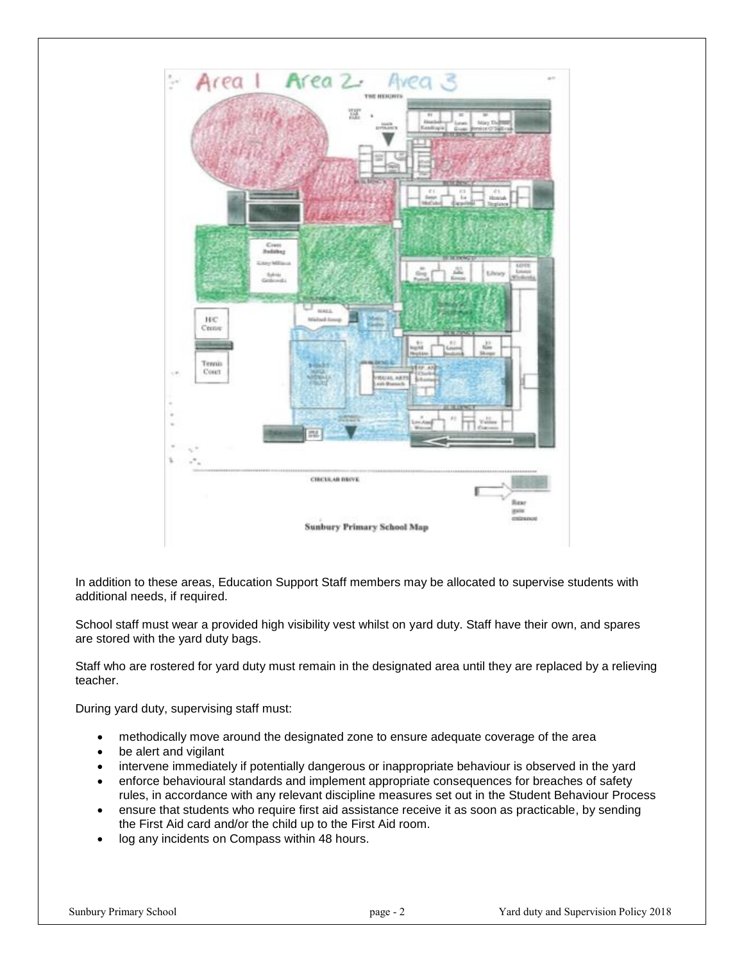

In addition to these areas, Education Support Staff members may be allocated to supervise students with additional needs, if required.

School staff must wear a provided high visibility vest whilst on yard duty. Staff have their own, and spares are stored with the yard duty bags.

Staff who are rostered for yard duty must remain in the designated area until they are replaced by a relieving teacher.

During yard duty, supervising staff must:

- methodically move around the designated zone to ensure adequate coverage of the area
- be alert and vigilant
- intervene immediately if potentially dangerous or inappropriate behaviour is observed in the yard
- enforce behavioural standards and implement appropriate consequences for breaches of safety rules, in accordance with any relevant discipline measures set out in the Student Behaviour Process
- ensure that students who require first aid assistance receive it as soon as practicable, by sending the First Aid card and/or the child up to the First Aid room.
- log any incidents on Compass within 48 hours.